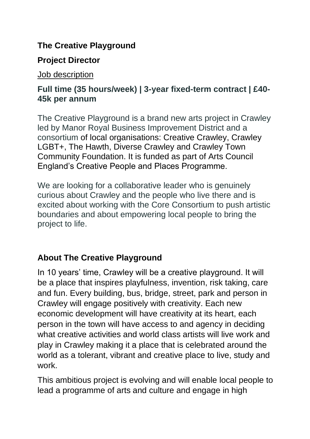## **The Creative Playground**

## **Project Director**

Job description

## **Full time (35 hours/week) | 3-year fixed-term contract | £40- 45k per annum**

The Creative Playground is a brand new arts project in Crawley led by Manor Royal Business Improvement District and a consortium of local organisations: Creative Crawley, Crawley LGBT+, The Hawth, Diverse Crawley and Crawley Town Community Foundation. It is funded as part of Arts Council England's Creative People and Places Programme.

We are looking for a collaborative leader who is genuinely curious about Crawley and the people who live there and is excited about working with the Core Consortium to push artistic boundaries and about empowering local people to bring the project to life.

# **About The Creative Playground**

In 10 years' time, Crawley will be a creative playground. It will be a place that inspires playfulness, invention, risk taking, care and fun. Every building, bus, bridge, street, park and person in Crawley will engage positively with creativity. Each new economic development will have creativity at its heart, each person in the town will have access to and agency in deciding what creative activities and world class artists will live work and play in Crawley making it a place that is celebrated around the world as a tolerant, vibrant and creative place to live, study and work.

This ambitious project is evolving and will enable local people to lead a programme of arts and culture and engage in high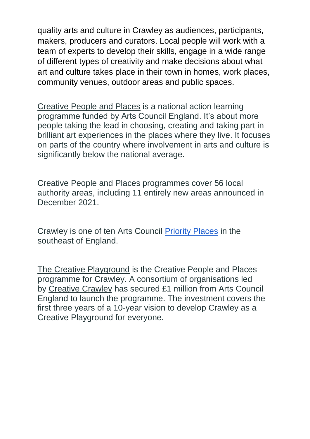quality arts and culture in Crawley as audiences, participants, makers, producers and curators. Local people will work with a team of experts to develop their skills, engage in a wide range of different types of creativity and make decisions about what art and culture takes place in their town in homes, work places, community venues, outdoor areas and public spaces.

[Creative People and Places](https://www.artscouncil.org.uk/creativepeopleandplaces) is a national action learning programme funded by Arts Council England. It's about more people taking the lead in choosing, creating and taking part in brilliant art experiences in the places where they live. It focuses on parts of the country where involvement in arts and culture is significantly below the national average.

Creative People and Places programmes cover 56 local authority areas, including 11 entirely new areas announced in December 2021.

Crawley is one of ten Arts Council [Priority Places](https://www.artscouncil.org.uk/your-area/priority-places#section-1) in the southeast of England.

[The](https://www.energiseme.org/about-us/our-projects/culture-in-common/) Creative Playground is the Creative People and Places programme for Crawley. A consortium of organisations led by [Creative](https://www.energiseme.org/about-us/about-energise-me/) Crawley has secured £1 million from Arts Council England to launch the programme. The investment covers the first three years of a 10-year vision to develop Crawley as a Creative Playground for everyone.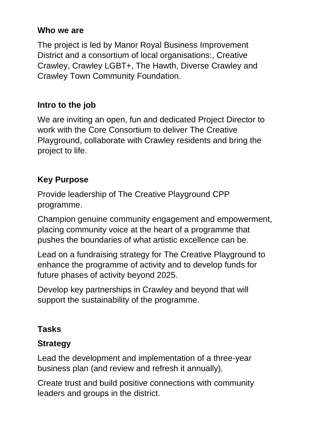#### **Who we are**

The project is led by Manor Royal Business Improvement District and a consortium of local organisations:, Creative Crawley, Crawley LGBT+, The Hawth, Diverse Crawley and Crawley Town Community Foundation.

## **Intro to the job**

We are inviting an open, fun and dedicated Project Director to work with the Core Consortium to deliver The Creative Playground, collaborate with Crawley residents and bring the project to life.

# **Key Purpose**

Provide leadership of The Creative Playground CPP programme.

Champion genuine community engagement and empowerment, placing community voice at the heart of a programme that pushes the boundaries of what artistic excellence can be.

Lead on a fundraising strategy for The Creative Playground to enhance the programme of activity and to develop funds for future phases of activity beyond 2025.

Develop key partnerships in Crawley and beyond that will support the sustainability of the programme.

# **Tasks**

# **Strategy**

Lead the development and implementation of a three-year business plan (and review and refresh it annually).

Create trust and build positive connections with community leaders and groups in the district.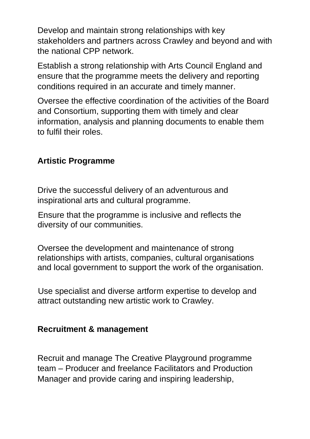Develop and maintain strong relationships with key stakeholders and partners across Crawley and beyond and with the national CPP network.

Establish a strong relationship with Arts Council England and ensure that the programme meets the delivery and reporting conditions required in an accurate and timely manner.

Oversee the effective coordination of the activities of the Board and Consortium, supporting them with timely and clear information, analysis and planning documents to enable them to fulfil their roles.

## **Artistic Programme**

Drive the successful delivery of an adventurous and inspirational arts and cultural programme.

Ensure that the programme is inclusive and reflects the diversity of our communities.

Oversee the development and maintenance of strong relationships with artists, companies, cultural organisations and local government to support the work of the organisation.

Use specialist and diverse artform expertise to develop and attract outstanding new artistic work to Crawley.

#### **Recruitment & management**

Recruit and manage The Creative Playground programme team – Producer and freelance Facilitators and Production Manager and provide caring and inspiring leadership,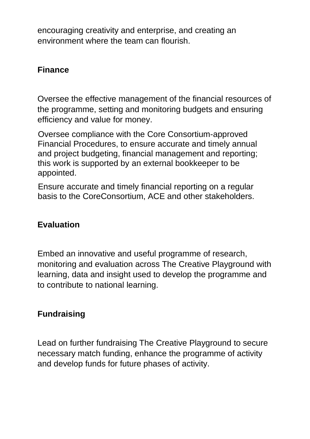encouraging creativity and enterprise, and creating an environment where the team can flourish.

#### **Finance**

Oversee the effective management of the financial resources of the programme, setting and monitoring budgets and ensuring efficiency and value for money.

Oversee compliance with the Core Consortium-approved Financial Procedures, to ensure accurate and timely annual and project budgeting, financial management and reporting; this work is supported by an external bookkeeper to be appointed.

Ensure accurate and timely financial reporting on a regular basis to the CoreConsortium, ACE and other stakeholders.

## **Evaluation**

Embed an innovative and useful programme of research, monitoring and evaluation across The Creative Playground with learning, data and insight used to develop the programme and to contribute to national learning.

## **Fundraising**

Lead on further fundraising The Creative Playground to secure necessary match funding, enhance the programme of activity and develop funds for future phases of activity.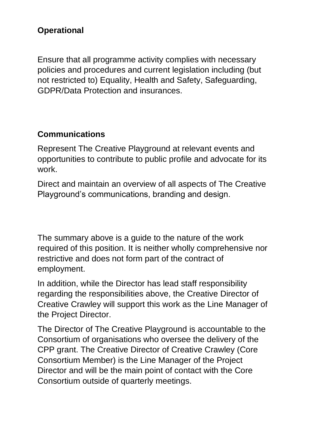## **Operational**

Ensure that all programme activity complies with necessary policies and procedures and current legislation including (but not restricted to) Equality, Health and Safety, Safeguarding, GDPR/Data Protection and insurances.

## **Communications**

Represent The Creative Playground at relevant events and opportunities to contribute to public profile and advocate for its work.

Direct and maintain an overview of all aspects of The Creative Playground's communications, branding and design.

The summary above is a guide to the nature of the work required of this position. It is neither wholly comprehensive nor restrictive and does not form part of the contract of employment.

In addition, while the Director has lead staff responsibility regarding the responsibilities above, the Creative Director of Creative Crawley will support this work as the Line Manager of the Project Director.

The Director of The Creative Playground is accountable to the Consortium of organisations who oversee the delivery of the CPP grant. The Creative Director of Creative Crawley (Core Consortium Member) is the Line Manager of the Project Director and will be the main point of contact with the Core Consortium outside of quarterly meetings.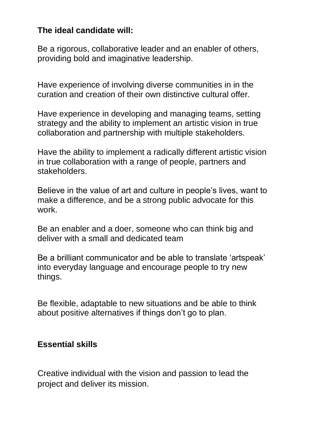#### **The ideal candidate will:**

Be a rigorous, collaborative leader and an enabler of others, providing bold and imaginative leadership.

Have experience of involving diverse communities in in the curation and creation of their own distinctive cultural offer.

Have experience in developing and managing teams, setting strategy and the ability to implement an artistic vision in true collaboration and partnership with multiple stakeholders.

Have the ability to implement a radically different artistic vision in true collaboration with a range of people, partners and stakeholders.

Believe in the value of art and culture in people's lives, want to make a difference, and be a strong public advocate for this work.

Be an enabler and a doer, someone who can think big and deliver with a small and dedicated team

Be a brilliant communicator and be able to translate 'artspeak' into everyday language and encourage people to try new things.

Be flexible, adaptable to new situations and be able to think about positive alternatives if things don't go to plan.

#### **Essential skills**

Creative individual with the vision and passion to lead the project and deliver its mission.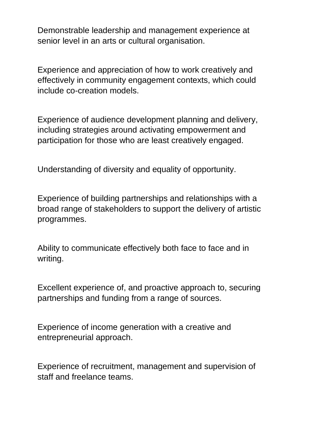Demonstrable leadership and management experience at senior level in an arts or cultural organisation.

Experience and appreciation of how to work creatively and effectively in community engagement contexts, which could include co-creation models.

Experience of audience development planning and delivery, including strategies around activating empowerment and participation for those who are least creatively engaged.

Understanding of diversity and equality of opportunity.

Experience of building partnerships and relationships with a broad range of stakeholders to support the delivery of artistic programmes.

Ability to communicate effectively both face to face and in writing.

Excellent experience of, and proactive approach to, securing partnerships and funding from a range of sources.

Experience of income generation with a creative and entrepreneurial approach.

Experience of recruitment, management and supervision of staff and freelance teams.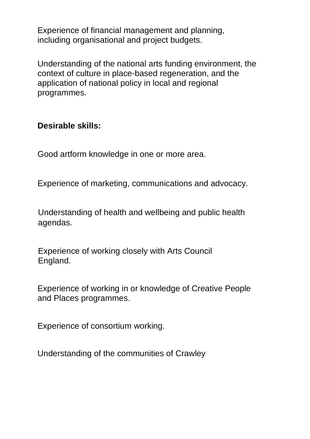Experience of financial management and planning, including organisational and project budgets.

Understanding of the national arts funding environment, the context of culture in place-based regeneration, and the application of national policy in local and regional programmes.

#### **Desirable skills:**

Good artform knowledge in one or more area.

Experience of marketing, communications and advocacy.

Understanding of health and wellbeing and public health agendas.

Experience of working closely with Arts Council England.

Experience of working in or knowledge of Creative People and Places programmes.

Experience of consortium working.

Understanding of the communities of Crawley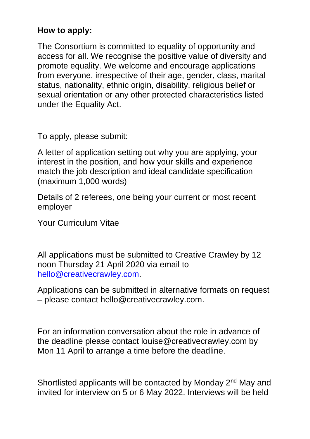## **How to apply:**

The Consortium is committed to equality of opportunity and access for all. We recognise the positive value of diversity and promote equality. We welcome and encourage applications from everyone, irrespective of their age, gender, class, marital status, nationality, ethnic origin, disability, religious belief or sexual orientation or any other protected characteristics listed under the Equality Act.

To apply, please submit:

A letter of application setting out why you are applying, your interest in the position, and how your skills and experience match the job description and ideal candidate specification (maximum 1,000 words)

Details of 2 referees, one being your current or most recent employer

Your Curriculum Vitae

All applications must be submitted to Creative Crawley by 12 noon Thursday 21 April 2020 via email to [hello@creativecrawley.com.](mailto:hello@creativecrawley.com)

Applications can be submitted in alternative formats on request – please contact hello@creativecrawley.com.

For an information conversation about the role in advance of the deadline please contact louise@creativecrawley.com by Mon 11 April to arrange a time before the deadline.

Shortlisted applicants will be contacted by Monday 2<sup>nd</sup> May and invited for interview on 5 or 6 May 2022. Interviews will be held